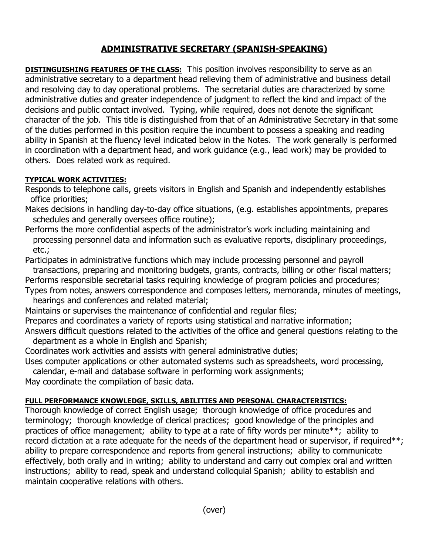## **ADMINISTRATIVE SECRETARY (SPANISH-SPEAKING)**

**DISTINGUISHING FEATURES OF THE CLASS:** This position involves responsibility to serve as an administrative secretary to a department head relieving them of administrative and business detail and resolving day to day operational problems. The secretarial duties are characterized by some administrative duties and greater independence of judgment to reflect the kind and impact of the decisions and public contact involved. Typing, while required, does not denote the significant character of the job. This title is distinguished from that of an Administrative Secretary in that some of the duties performed in this position require the incumbent to possess a speaking and reading ability in Spanish at the fluency level indicated below in the Notes. The work generally is performed in coordination with a department head, and work guidance (e.g., lead work) may be provided to others. Does related work as required.

## **TYPICAL WORK ACTIVITIES:**

Responds to telephone calls, greets visitors in English and Spanish and independently establishes office priorities;

- Makes decisions in handling day-to-day office situations, (e.g. establishes appointments, prepares schedules and generally oversees office routine);
- Performs the more confidential aspects of the administrator's work including maintaining and processing personnel data and information such as evaluative reports, disciplinary proceedings, etc.;

Participates in administrative functions which may include processing personnel and payroll transactions, preparing and monitoring budgets, grants, contracts, billing or other fiscal matters; Performs responsible secretarial tasks requiring knowledge of program policies and procedures;

- Types from notes, answers correspondence and composes letters, memoranda, minutes of meetings, hearings and conferences and related material;
- Maintains or supervises the maintenance of confidential and regular files;
- Prepares and coordinates a variety of reports using statistical and narrative information;
- Answers difficult questions related to the activities of the office and general questions relating to the department as a whole in English and Spanish;

Coordinates work activities and assists with general administrative duties;

Uses computer applications or other automated systems such as spreadsheets, word processing,

calendar, e-mail and database software in performing work assignments;

May coordinate the compilation of basic data.

## **FULL PERFORMANCE KNOWLEDGE, SKILLS, ABILITIES AND PERSONAL CHARACTERISTICS:**

Thorough knowledge of correct English usage; thorough knowledge of office procedures and terminology; thorough knowledge of clerical practices; good knowledge of the principles and practices of office management; ability to type at a rate of fifty words per minute\*\*; ability to record dictation at a rate adequate for the needs of the department head or supervisor, if required\*\*; ability to prepare correspondence and reports from general instructions; ability to communicate effectively, both orally and in writing; ability to understand and carry out complex oral and written instructions; ability to read, speak and understand colloquial Spanish; ability to establish and maintain cooperative relations with others.